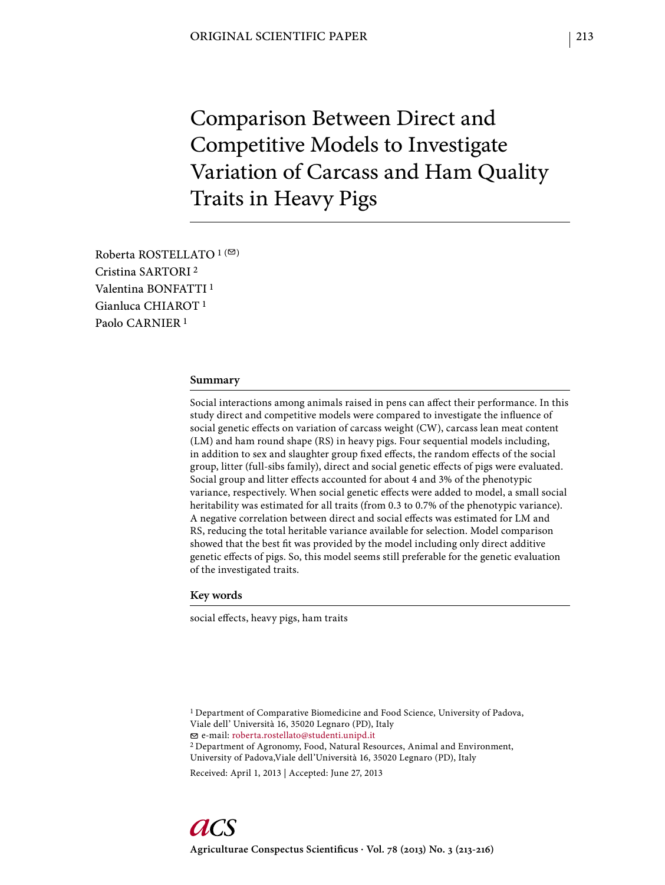Comparison Between Direct and Competitive Models to Investigate Variation of Carcass and Ham Quality Traits in Heavy Pigs

Roberta ROSTELLATO<sup>1(2)</sup> Cristina SARTORI 2 Valentina BONFATTI 1 Gianluca CHIAROT 1 Paolo CARNIER 1

# **Summary**

Social interactions among animals raised in pens can affect their performance. In this study direct and competitive models were compared to investigate the influence of social genetic effects on variation of carcass weight (CW), carcass lean meat content (LM) and ham round shape (RS) in heavy pigs. Four sequential models including, in addition to sex and slaughter group fixed effects, the random effects of the social group, litter (full-sibs family), direct and social genetic effects of pigs were evaluated. Social group and litter effects accounted for about 4 and 3% of the phenotypic variance, respectively. When social genetic effects were added to model, a small social heritability was estimated for all traits (from 0.3 to 0.7% of the phenotypic variance). A negative correlation between direct and social effects was estimated for LM and RS, reducing the total heritable variance available for selection. Model comparison showed that the best fit was provided by the model including only direct additive genetic effects of pigs. So, this model seems still preferable for the genetic evaluation of the investigated traits.

## **Key words**

social effects, heavy pigs, ham traits

<sup>1</sup> Department of Comparative Biomedicine and Food Science, University of Padova, Viale dell' Università 16, 35020 Legnaro (PD), Italy e-mail: roberta.rostellato@studenti.unipd.it 2 Department of Agronomy, Food, Natural Resources, Animal and Environment,

University of Padova,Viale dell'Università 16, 35020 Legnaro (PD), Italy

Received: April 1, 2013 | Accepted: June 27, 2013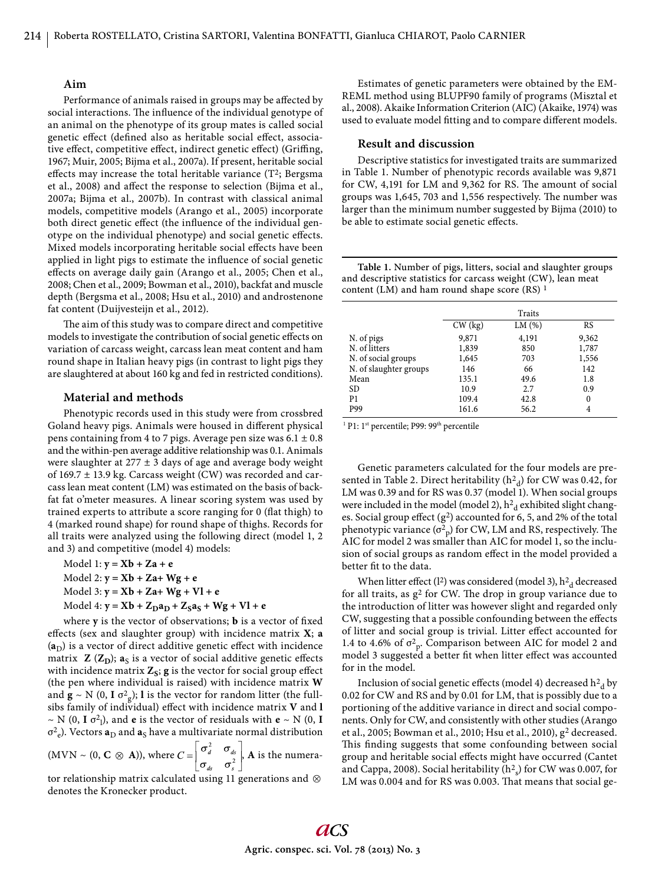### **Aim**

Performance of animals raised in groups may be affected by social interactions. The influence of the individual genotype of an animal on the phenotype of its group mates is called social genetic effect (defined also as heritable social effect, associative effect, competitive effect, indirect genetic effect) (Griffing, 1967; Muir, 2005; Bijma et al., 2007a). If present, heritable social effects may increase the total heritable variance  $(T^2;$  Bergsma et al., 2008) and affect the response to selection (Bijma et al., 2007a; Bijma et al., 2007b). In contrast with classical animal models, competitive models (Arango et al., 2005) incorporate both direct genetic effect (the influence of the individual genotype on the individual phenotype) and social genetic effects. Mixed models incorporating heritable social effects have been applied in light pigs to estimate the influence of social genetic effects on average daily gain (Arango et al., 2005; Chen et al., 2008; Chen et al., 2009; Bowman et al., 2010), backfat and muscle depth (Bergsma et al., 2008; Hsu et al., 2010) and androstenone fat content (Duijvesteijn et al., 2012).

The aim of this study was to compare direct and competitive models to investigate the contribution of social genetic effects on variation of carcass weight, carcass lean meat content and ham round shape in Italian heavy pigs (in contrast to light pigs they are slaughtered at about 160 kg and fed in restricted conditions).

### **Material and methods**

Phenotypic records used in this study were from crossbred Goland heavy pigs. Animals were housed in different physical pens containing from 4 to 7 pigs. Average pen size was  $6.1 \pm 0.8$ and the within-pen average additive relationship was 0.1. Animals were slaughter at  $277 \pm 3$  days of age and average body weight of  $169.7 \pm 13.9$  kg. Carcass weight (CW) was recorded and carcass lean meat content (LM) was estimated on the basis of backfat fat o'meter measures. A linear scoring system was used by trained experts to attribute a score ranging for 0 (flat thigh) to 4 (marked round shape) for round shape of thighs. Records for all traits were analyzed using the following direct (model 1, 2 and 3) and competitive (model 4) models:

Model 1: **y = Xb + Za + e** Model 2: **y = Xb + Za+ Wg + e** Model 3: **y = Xb + Za+ Wg + Vl + e** Model 4:  $y = Xb + Z_Da_D + Z_Sa_S + Wg + Vl + e$ 

where **y** is the vector of observations; **b** is a vector of fixed effects (sex and slaughter group) with incidence matrix **X**; a  $(a<sub>D</sub>)$  is a vector of direct additive genetic effect with incidence matrix  $\mathbf{Z}(\mathbf{Z}_D)$ ;  $\mathbf{a}_S$  is a vector of social additive genetic effects with incidence matrix  $Z_s$ ;  $g$  is the vector for social group effect (the pen where individual is raised) with incidence matrix **W** and  $\mathbf{g} \sim N$  (0, **I**  $\sigma^2$ <sub>g</sub>); **l** is the vector for random litter (the fullsibs family of individual) effect with incidence matrix V and l  $\sim$  N (0, **I**  $\sigma^2$ <sub>1</sub>), and **e** is the vector of residuals with **e**  $\sim$  N (0, **I**  $σ<sup>2</sup><sub>e</sub>$ ). Vectors **a**<sub>D</sub> and **a**<sub>S</sub> have a multivariate normal distribution

(MVN ~ (0, **C**  $\otimes$  **A**)), where  $C = \begin{bmatrix} \sigma_d^2 & \sigma_{ds} \\ \sigma_{ds} & \sigma_s^2 \end{bmatrix}$ . A is the numerator relationship matrix calculated using 11 generations and

denotes the Kronecker product.

Estimates of genetic parameters were obtained by the EM-REML method using BLUPF90 family of programs (Misztal et al., 2008). Akaike Information Criterion (AIC) (Akaike, 1974) was used to evaluate model fitting and to compare different models.

#### **Result and discussion**

Descriptive statistics for investigated traits are summarized in Table 1. Number of phenotypic records available was 9,871 for CW, 4,191 for LM and 9,362 for RS. The amount of social groups was 1,645, 703 and 1,556 respectively. The number was larger than the minimum number suggested by Bijma (2010) to be able to estimate social genetic effects.

**Table 1.** Number of pigs, litters, social and slaughter groups and descriptive statistics for carcass weight (CW), lean meat content (LM) and ham round shape score  $(RS)^1$ 

|                        |           | Traits |       |
|------------------------|-----------|--------|-------|
|                        | $CW$ (kg) | LM(%)  | RS    |
| N. of pigs             | 9,871     | 4,191  | 9,362 |
| N. of litters          | 1,839     | 850    | 1,787 |
| N. of social groups    | 1,645     | 703    | 1,556 |
| N. of slaughter groups | 146       | 66     | 142   |
| Mean                   | 135.1     | 49.6   | 1.8   |
| <b>SD</b>              | 10.9      | 2.7    | 0.9   |
| P <sub>1</sub>         | 109.4     | 42.8   | 0     |
| P99                    | 161.6     | 56.2   | 4     |

<sup>1</sup> P1: 1<sup>st</sup> percentile; P99: 99<sup>th</sup> percentile

Genetic parameters calculated for the four models are presented in Table 2. Direct heritability  $(\mathrm{h^2}_\mathrm{d})$  for CW was 0.42, for LM was 0.39 and for RS was 0.37 (model 1). When social groups were included in the model (model 2),  $h^2$ <sub>d</sub> exhibited slight changes. Social group effect  $(g^2)$  accounted for 6, 5, and 2% of the total phenotypic variance ( $\sigma_{\rm p}^2$ ) for CW, LM and RS, respectively. The AIC for model 2 was smaller than AIC for model 1, so the inclusion of social groups as random effect in the model provided a better fit to the data.

When litter effect (1<sup>2</sup>) was considered (model 3),  $h^2$ <sub>d</sub> decreased for all traits, as  $g^2$  for CW. The drop in group variance due to the introduction of litter was however slight and regarded only CW, suggesting that a possible confounding between the effects of litter and social group is trivial. Litter effect accounted for 1.4 to 4.6% of  $\sigma_{\rm p}^2$ . Comparison between AIC for model 2 and model 3 suggested a better fit when litter effect was accounted for in the model.

Inclusion of social genetic effects (model 4) decreased  $\rm h^2_d$  by 0.02 for CW and RS and by 0.01 for LM, that is possibly due to a portioning of the additive variance in direct and social components. Only for CW, and consistently with other studies (Arango et al., 2005; Bowman et al., 2010; Hsu et al., 2010), g2 decreased. This finding suggests that some confounding between social group and heritable social effects might have occurred (Cantet and Cappa, 2008). Social heritability ( $h^2$ <sub>s</sub>) for CW was 0.007, for LM was 0.004 and for RS was 0.003. That means that social ge-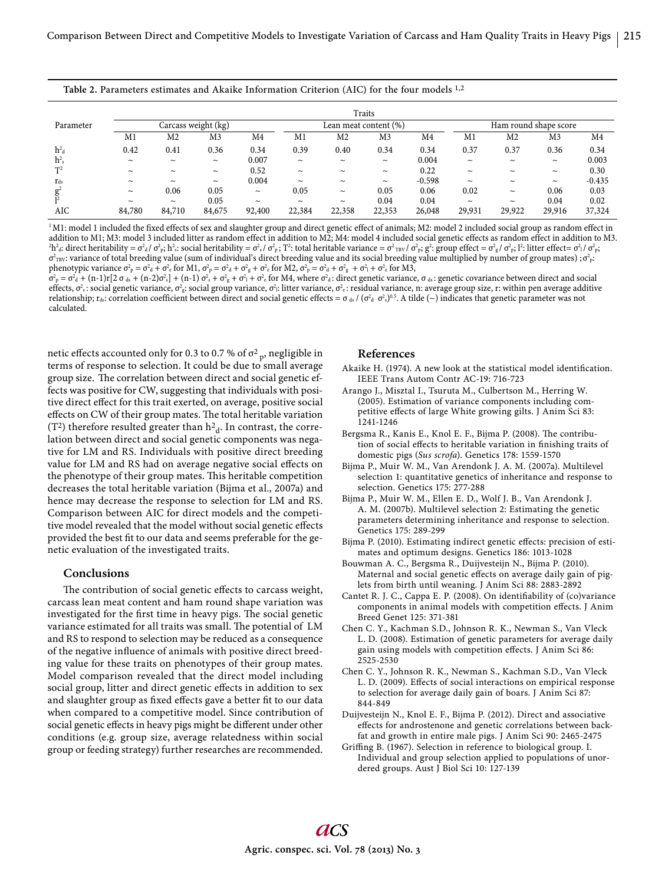| Table 2. Parameters estimates and Akaike Information Criterion (AIC) for the four models 1,2 |  |  |  |
|----------------------------------------------------------------------------------------------|--|--|--|
|----------------------------------------------------------------------------------------------|--|--|--|

|                | Traits                |                       |                       |                       |                       |                       |                       |          |            |                |                       |          |
|----------------|-----------------------|-----------------------|-----------------------|-----------------------|-----------------------|-----------------------|-----------------------|----------|------------|----------------|-----------------------|----------|
| Parameter      | Carcass weight (kg)   |                       |                       | Lean meat content (%) |                       |                       | Ham round shape score |          |            |                |                       |          |
|                | M1                    | M2                    | M3                    | M4                    | M1                    | M2                    | M <sub>3</sub>        | M4       | M1         | M <sub>2</sub> | M <sub>3</sub>        | M4       |
| $h^2_d$        | 0.42                  | 0.41                  | 0.36                  | 0.34                  | 0.39                  | 0.40                  | 0.34                  | 0.34     | 0.37       | 0.37           | 0.36                  | 0.34     |
| $h^2$          | $\sim$                | $\tilde{\phantom{a}}$ | $\tilde{\phantom{a}}$ | 0.007                 | $\sim$                | $\sim$                | $\tilde{\phantom{a}}$ | 0.004    | $\sim$     | $\sim$         | $\tilde{\phantom{a}}$ | 0.003    |
| T <sup>2</sup> | $\sim$                | $\tilde{\phantom{a}}$ | $\tilde{\phantom{a}}$ | 0.52                  | $\sim$                | $\tilde{}$            | $\tilde{\phantom{a}}$ | 0.22     | $\sim$     | $\sim$         | $\tilde{\phantom{a}}$ | 0.30     |
| $r_{ds}$       | $\sim$                | $\tilde{\phantom{a}}$ | $\tilde{\phantom{a}}$ | 0.004                 | $\tilde{\phantom{a}}$ | $\sim$                | $\tilde{\phantom{a}}$ | $-0.598$ | $\tilde{}$ | $\sim$         | $\tilde{\phantom{a}}$ | $-0.435$ |
| $g^2$          | $\tilde{\phantom{a}}$ | 0.06                  | 0.05                  | $\tilde{\phantom{a}}$ | 0.05                  | $\tilde{\phantom{a}}$ | 0.05                  | 0.06     | 0.02       | $\sim$         | 0.06                  | 0.03     |
|                | $\sim$                | $\tilde{\phantom{a}}$ | 0.05                  | $\tilde{\phantom{a}}$ | $\sim$                | $\tilde{\phantom{a}}$ | 0.04                  | 0.04     | $\sim$     | $\sim$         | 0.04                  | 0.02     |
| AIC            | 84,780                | 84,710                | 84,675                | 92,400                | 22,384                | 22,358                | 22,353                | 26,048   | 29,931     | 29,922         | 29,916                | 37,324   |

<sup>1</sup>M1: model 1 included the fixed effects of sex and slaughter group and direct genetic effect of animals; M2: model 2 included social group as random effect in addition to M1; M3: model 3 included litter as random effect in addition to M2; M4: model 4 included social genetic effects as random effect in addition to M3.  ${}^{2}\text{h}^{2}$  direct heritability =  $\sigma^{2}$  d  $\sigma^{2}$  b; h<sup>2</sup> s: social heritability =  $\sigma^{2}$  d  $\sigma^{2}$  p; T<sup>2</sup>: total heritable variance =  $\sigma^{2}$ <sub>TBV</sub>  $\sigma^{2}$  p;  $\sigma^{2}$  s group effect =  $\sigma^{2}$  d  $\sigma^{2}$  p; 1<sup>2</sup>: litt  $\sigma^2_{\rm\scriptscriptstyle TBV}$ : variance of total breeding value (sum of individual's direct breeding value and its social breeding value multiplied by number of group mates) ;  $\sigma^2_{\rm\scriptscriptstyle P}$ : phenotypic variance  $\sigma_p^2 = \sigma_d^2 + \sigma_e^2$  for M1,  $\sigma_p^2 = \sigma_d^2 + \sigma_e^2$  for M2,  $\sigma_p^2 = \sigma_d^2 + \sigma_g^2 + \sigma_1^2 + \sigma_e^2$  for M3,

 $\sigma_P^2 = \sigma_d^2 + (n-1)r[2 \sigma_{ds} + (n-2)\sigma_s^2] + (n-1) \sigma_s^2 + \sigma_g^2 + \sigma_1^2 + \sigma_e^2$  for M4, where  $\sigma_d^2$ : direct genetic variance,  $\sigma_{ds}$ : genetic covariance between direct and social effects,  $\sigma_s$ : social genetic variance,  $\sigma_s^2$ : social group variance,  $\sigma_1$ : litter variance,  $\sigma_c^2$ : residual variance, n: average group size, r: within pen average additive relationship; r<sub>ds</sub>: correlation coefficient between direct and social genetic effects =  $\sigma$  <sub>ds</sub> / ( $\sigma^2$  d  $\sigma^2$ ,)<sup>0.5</sup>. A tilde (  $\sim$  ) indicates that genetic parameter was not calculated.

netic effects accounted only for 0.3 to 0.7 % of  $\sigma_{\rm p}^2$ , negligible in terms of response to selection. It could be due to small average group size. The correlation between direct and social genetic effects was positive for CW, suggesting that individuals with positive direct effect for this trait exerted, on average, positive social effects on CW of their group mates. The total heritable variation (T<sup>2</sup>) therefore resulted greater than  $h^2$ <sub>d</sub>. In contrast, the correlation between direct and social genetic components was negative for LM and RS. Individuals with positive direct breeding value for LM and RS had on average negative social effects on the phenotype of their group mates. This heritable competition decreases the total heritable variation (Bijma et al., 2007a) and hence may decrease the response to selection for LM and RS. Comparison between AIC for direct models and the competitive model revealed that the model without social genetic effects provided the best fit to our data and seems preferable for the genetic evaluation of the investigated traits.

#### **Conclusions**

The contribution of social genetic effects to carcass weight, carcass lean meat content and ham round shape variation was investigated for the first time in heavy pigs. The social genetic variance estimated for all traits was small. The potential of LM and RS to respond to selection may be reduced as a consequence of the negative influence of animals with positive direct breeding value for these traits on phenotypes of their group mates. Model comparison revealed that the direct model including social group, litter and direct genetic effects in addition to sex and slaughter group as fixed effects gave a better fit to our data when compared to a competitive model. Since contribution of social genetic effects in heavy pigs might be different under other conditions (e.g. group size, average relatedness within social group or feeding strategy) further researches are recommended.

#### **References**

- Akaike H. (1974). A new look at the statistical model identification. IEEE Trans Autom Contr AC-19: 716-723
- Arango J., Misztal I., Tsuruta M., Culbertson M., Herring W. (2005). Estimation of variance components including competitive effects of large White growing gilts. J Anim Sci 83: 1241-1246
- Bergsma R., Kanis E., Knol E. F., Bijma P. (2008). The contribution of social effects to heritable variation in finishing traits of domestic pigs (*Sus scrofa*). Genetics 178: 1559-1570
- Bijma P., Muir W. M., Van Arendonk J. A. M. (2007a). Multilevel selection 1: quantitative genetics of inheritance and response to selection. Genetics 175: 277-288
- Bijma P., Muir W. M., Ellen E. D., Wolf J. B., Van Arendonk J. A. M. (2007b). Multilevel selection 2: Estimating the genetic parameters determining inheritance and response to selection. Genetics 175: 289-299
- Bijma P. (2010). Estimating indirect genetic effects: precision of estimates and optimum designs. Genetics 186: 1013-1028
- Bouwman A. C., Bergsma R., Duijvesteijn N., Bijma P. (2010). Maternal and social genetic effects on average daily gain of piglets from birth until weaning. J Anim Sci 88: 2883-2892
- Cantet R. J. C., Cappa E. P. (2008). On identifiability of (co)variance components in animal models with competition effects. J Anim Breed Genet 125: 371-381
- Chen C. Y., Kachman S.D., Johnson R. K., Newman S., Van Vleck L. D. (2008). Estimation of genetic parameters for average daily gain using models with competition effects. J Anim Sci 86: 2525-2530
- Chen C. Y., Johnson R. K., Newman S., Kachman S.D., Van Vleck L. D. (2009). Effects of social interactions on empirical response to selection for average daily gain of boars. J Anim Sci 87: 844-849
- Duijvesteijn N., Knol E. F., Bijma P. (2012). Direct and associative effects for androstenone and genetic correlations between backfat and growth in entire male pigs. J Anim Sci 90: 2465-2475
- Griffing B. (1967). Selection in reference to biological group. I. Individual and group selection applied to populations of unordered groups. Aust J Biol Sci 10: 127-139